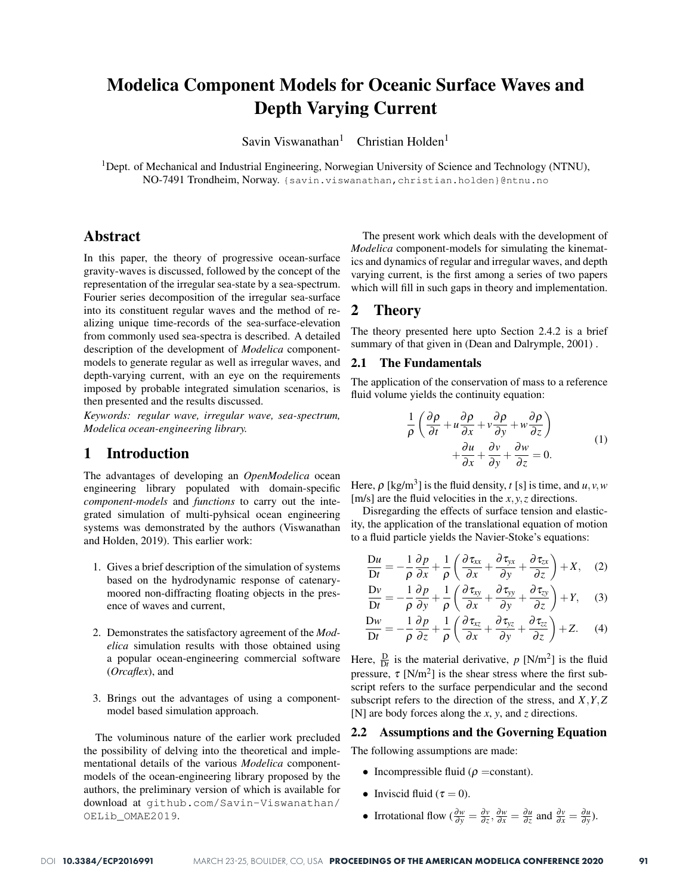# Modelica Component Models for Oceanic Surface Waves and Depth Varying Current

Savin Viswanathan<sup>1</sup> Christian Holden<sup>1</sup>

<sup>1</sup>Dept. of Mechanical and Industrial Engineering, Norwegian University of Science and Technology (NTNU), NO-7491 Trondheim, Norway. {savin.viswanathan,christian.holden}@ntnu.no

# Abstract

In this paper, the theory of progressive ocean-surface gravity-waves is discussed, followed by the concept of the representation of the irregular sea-state by a sea-spectrum. Fourier series decomposition of the irregular sea-surface into its constituent regular waves and the method of realizing unique time-records of the sea-surface-elevation from commonly used sea-spectra is described. A detailed description of the development of *Modelica* componentmodels to generate regular as well as irregular waves, and depth-varying current, with an eye on the requirements imposed by probable integrated simulation scenarios, is then presented and the results discussed.

*Keywords: regular wave, irregular wave, sea-spectrum, Modelica ocean-engineering library.*

## 1 Introduction

The advantages of developing an *OpenModelica* ocean engineering library populated with domain-specific *component-models* and *functions* to carry out the integrated simulation of multi-pyhsical ocean engineering systems was demonstrated by the authors (Viswanathan and Holden, 2019). This earlier work:

- 1. Gives a brief description of the simulation of systems based on the hydrodynamic response of catenarymoored non-diffracting floating objects in the presence of waves and current,
- 2. Demonstrates the satisfactory agreement of the *Modelica* simulation results with those obtained using a popular ocean-engineering commercial software (*Orcaflex*), and
- 3. Brings out the advantages of using a componentmodel based simulation approach.

The voluminous nature of the earlier work precluded the possibility of delving into the theoretical and implementational details of the various *Modelica* componentmodels of the ocean-engineering library proposed by the authors, the preliminary version of which is available for download at github.com/Savin-Viswanathan/ OELib\_OMAE2019.

The present work which deals with the development of *Modelica* component-models for simulating the kinematics and dynamics of regular and irregular waves, and depth varying current, is the first among a series of two papers which will fill in such gaps in theory and implementation.

## 2 Theory

The theory presented here upto Section 2.4.2 is a brief summary of that given in (Dean and Dalrymple, 2001).

#### 2.1 The Fundamentals

The application of the conservation of mass to a reference fluid volume yields the continuity equation:

$$
\frac{1}{\rho} \left( \frac{\partial \rho}{\partial t} + u \frac{\partial \rho}{\partial x} + v \frac{\partial \rho}{\partial y} + w \frac{\partial \rho}{\partial z} \right) \n+ \frac{\partial u}{\partial x} + \frac{\partial v}{\partial y} + \frac{\partial w}{\partial z} = 0.
$$
\n(1)

Here,  $\rho$  [kg/m<sup>3</sup>] is the fluid density, *t* [s] is time, and *u*, *v*, *w* [m/s] are the fluid velocities in the *x*, *y*,*z* directions.

Disregarding the effects of surface tension and elasticity, the application of the translational equation of motion to a fluid particle yields the Navier-Stoke's equations:

$$
\frac{\mathrm{D}u}{\mathrm{D}t} = -\frac{1}{\rho} \frac{\partial p}{\partial x} + \frac{1}{\rho} \left( \frac{\partial \tau_{xx}}{\partial x} + \frac{\partial \tau_{yx}}{\partial y} + \frac{\partial \tau_{zx}}{\partial z} \right) + X, \quad (2)
$$

$$
\frac{\mathrm{D}v}{\mathrm{D}t} = -\frac{1}{\rho} \frac{\partial p}{\partial y} + \frac{1}{\rho} \left( \frac{\partial \tau_{xy}}{\partial x} + \frac{\partial \tau_{yy}}{\partial y} + \frac{\partial \tau_{zy}}{\partial z} \right) + Y, \quad (3)
$$

$$
\frac{\mathrm{D}w}{\mathrm{D}t} = -\frac{1}{\rho} \frac{\partial p}{\partial z} + \frac{1}{\rho} \left( \frac{\partial \tau_{xz}}{\partial x} + \frac{\partial \tau_{yz}}{\partial y} + \frac{\partial \tau_{zz}}{\partial z} \right) + Z. \tag{4}
$$

Here,  $\frac{D}{Dt}$  is the material derivative, *p* [N/m<sup>2</sup>] is the fluid pressure,  $\tau$  [N/m<sup>2</sup>] is the shear stress where the first subscript refers to the surface perpendicular and the second subscript refers to the direction of the stress, and *X*,*Y*,*Z* [N] are body forces along the *x*, *y*, and *z* directions.

#### 2.2 Assumptions and the Governing Equation

The following assumptions are made:

- Incompressible fluid ( $\rho$  =constant).
- Inviscid fluid ( $\tau = 0$ ).
- Irrotational flow  $\left(\frac{\partial w}{\partial y} = \frac{\partial v}{\partial z}, \frac{\partial w}{\partial x} = \frac{\partial u}{\partial z} \text{ and } \frac{\partial v}{\partial x} = \frac{\partial u}{\partial y} \right)$ .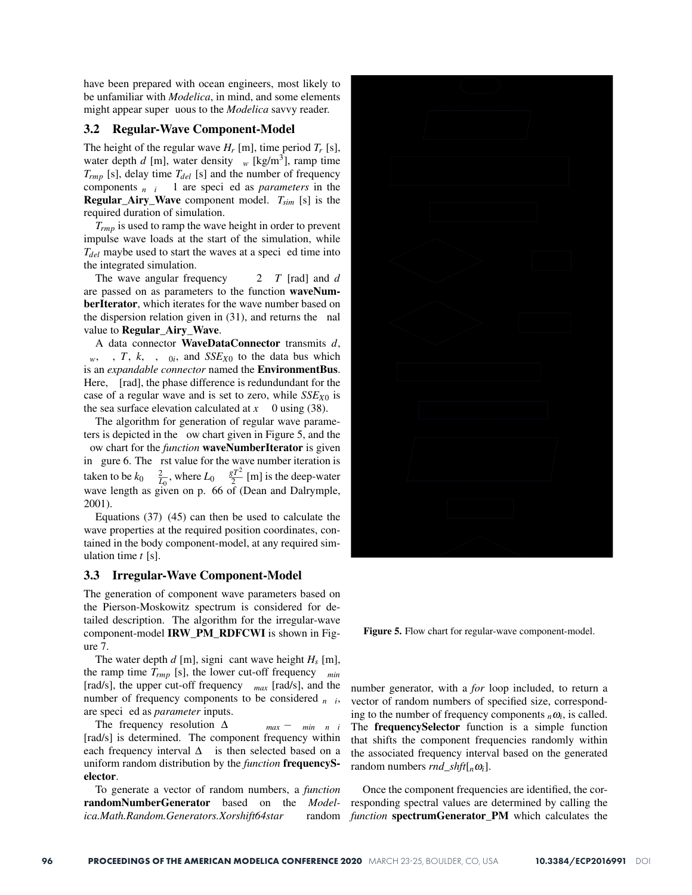have been prepared with ocean engineers, most likely to be unfamiliar with *Modelica*, in mind, and some elements might appear super uous to the *Modelica* savvy reader.

#### 3.2 Regular-Wave Component-Model

The height of the regular wave  $H_r$  [m], time period  $T_r$  [s], water depth  $d$  [m], water density  $w$  [kg/m<sup>3</sup>], ramp time  $T_{rmp}$  [s], delay time  $T_{del}$  [s] and the number of frequency components  $n_i$  1 are specied as *parameters* in the Regular\_Airy\_Wave component model. *Tsim* [s] is the required duration of simulation.

*Trmp* is used to ramp the wave height in order to prevent impulse wave loads at the start of the simulation, while  $T_{del}$  maybe used to start the waves at a specied time into the integrated simulation.

The wave angular frequency 2 *T* [rad] and *d* are passed on as parameters to the function waveNumberIterator, which iterates for the wave number based on the dispersion relation given in (31), and returns the nal value to Regular\_Airy\_Wave.

A data connector WaveDataConnector transmits *d*,  $w$ , *T*, *k*, ,  $q_i$ , and *SSE<sub>X0</sub>* to the data bus which is an *expandable connector* named the EnvironmentBus. Here, [rad], the phase difference is redundundant for the case of a regular wave and is set to zero, while *SSEX*<sup>0</sup> is the sea surface elevation calculated at  $x = 0$  using (38).

The algorithm for generation of regular wave parameters is depicted in the ow chart given in Figure 5, and the ow chart for the *function* waveNumberIterator is given in gure 6. The rst value for the wave number iteration is taken to be  $k_0$   $\frac{2}{L_0}$ , where  $L_0$   $\frac{gT^2}{2}$  [m] is the deep-water wave length as given on p. 66 of (Dean and Dalrymple, 2001).

Equations  $(37)(45)$  can then be used to calculate the wave properties at the required position coordinates, contained in the body component-model, at any required simulation time *t* [s].

#### 3.3 Irregular-Wave Component-Model

The generation of component wave parameters based on the Pierson-Moskowitz spectrum is considered for detailed description. The algorithm for the irregular-wave component-model IRW\_PM\_RDFCWI is shown in Figure 7.

The water depth  $d$  [m], signicant wave height  $H_s$  [m], the ramp time *Trmp* [s], the lower cut-off frequency *min* [rad/s], the upper cut-off frequency *max* [rad/s], and the number of frequency components to be considered *<sup>n</sup> <sup>i</sup>*, are specied as *parameter* inputs.

The frequency resolution  $\Delta$  *max* − *min n i* [rad/s] is determined. The component frequency within each frequency interval  $\Delta$  is then selected based on a uniform random distribution by the *function* frequencySelector.

To generate a vector of random numbers, a *function* randomNumberGenerator based on the *Modelica.Math.Random.Generators.Xorshift64star* random

Figure 5. Flow chart for regular-wave component-model.

number generator, with a *for* loop included, to return a vector of random numbers of specified size, corresponding to the number of frequency components  $n\omega_i$ , is called. The frequencySelector function is a simple function that shifts the component frequencies randomly within the associated frequency interval based on the generated random numbers *rnd*  $\text{s}hft[{}_{n}\omega_i]$ .

Once the component frequencies are identified, the corresponding spectral values are determined by calling the *function* spectrumGenerator PM which calculates the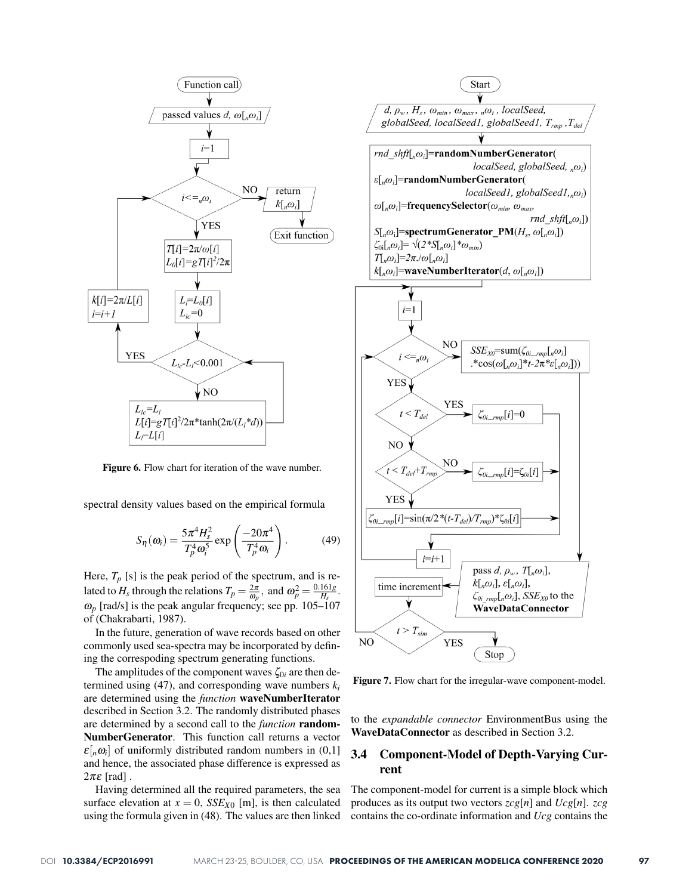

Figure 6. Flow chart for iteration of the wave number.

spectral density values based on the empirical formula

$$
S_{\eta}(\omega_i) = \frac{5\pi^4 H_s^2}{T_p^4 \omega_i^5} \exp\left(\frac{-20\pi^4}{T_p^4 \omega_i}\right). \tag{49}
$$

Here,  $T_p$  [s] is the peak period of the spectrum, and is related to  $H_s$  through the relations  $T_p = \frac{2\pi}{\omega_p}$ , and  $\omega_p^2 = \frac{0.161g}{H_s}$ .  $\omega_p$  [rad/s] is the peak angular frequency; see pp. 105–107 of (Chakrabarti, 1987).

In the future, generation of wave records based on other commonly used sea-spectra may be incorporated by defining the correspoding spectrum generating functions.

The amplitudes of the component waves  $\zeta_{0i}$  are then determined using  $(47)$ , and corresponding wave numbers  $k_i$ are determined using the *function* waveNumberIterator described in Section 3.2. The randomly distributed phases are determined by a second call to the *function* random-NumberGenerator. This function call returns a vector  $\varepsilon$ [ $n\omega$ <sub>i</sub>] of uniformly distributed random numbers in (0,1] and hence, the associated phase difference is expressed as  $2\pi\varepsilon$  [rad].

Having determined all the required parameters, the sea surface elevation at  $x = 0$ , *SSE<sub>X0</sub>* [m], is then calculated using the formula given in (48). The values are then linked



Figure 7. Flow chart for the irregular-wave component-model.

to the *expandable connector* EnvironmentBus using the WaveDataConnector as described in Section 3.2.

## 3.4 Component-Model of Depth-Varying Current

The component-model for current is a simple block which produces as its output two vectors *zcg*[*n*] and *Ucg*[*n*]. *zcg* contains the co-ordinate information and *Ucg* contains the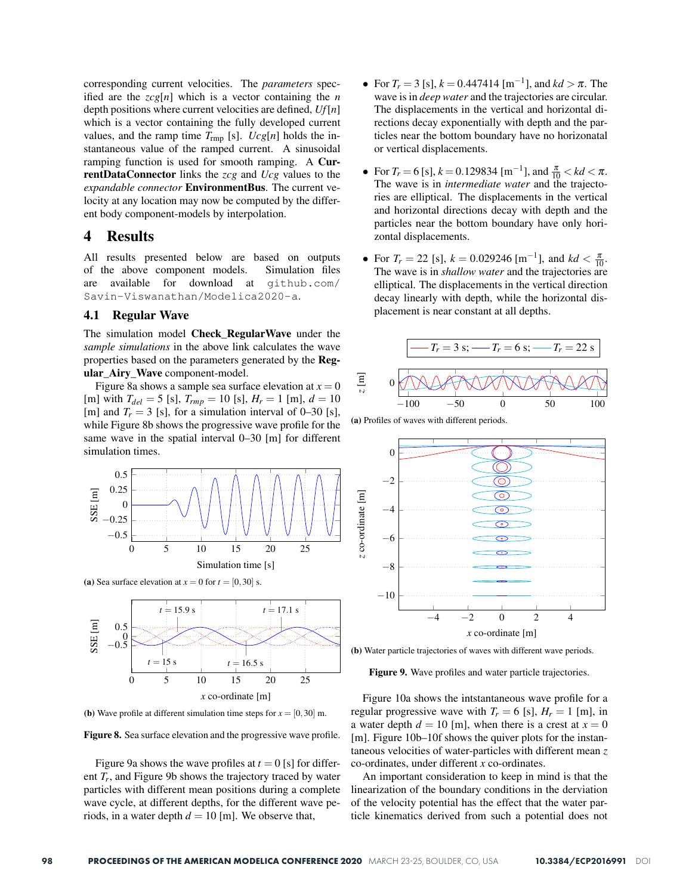corresponding current velocities. The *parameters* specified are the  $\text{zcg}[n]$  which is a vector containing the *n* depth positions where current velocities are defined, *Uf*[*n*] which is a vector containing the fully developed current values, and the ramp time  $T_{\text{rmp}}$  [s].  $Ucg[n]$  holds the instantaneous value of the ramped current. A sinusoidal ramping function is used for smooth ramping. A CurrentDataConnector links the *zcg* and *Ucg* values to the *expandable connector* EnvironmentBus. The current velocity at any location may now be computed by the different body component-models by interpolation.

## 4 Results

All results presented below are based on outputs of the above component models. Simulation files are available for download at github.com/ Savin-Viswanathan/Modelica2020-a.

### 4.1 Regular Wave

The simulation model Check RegularWave under the *sample simulations* in the above link calculates the wave properties based on the parameters generated by the Regular\_Airy\_Wave component-model.

Figure 8a shows a sample sea surface elevation at  $x = 0$ [m] with  $T_{del} = 5$  [s],  $T_{rmp} = 10$  [s],  $H_r = 1$  [m],  $d = 10$ [m] and  $T_r = 3$  [s], for a simulation interval of 0–30 [s], while Figure 8b shows the progressive wave profile for the same wave in the spatial interval 0–30 [m] for different simulation times.



(a) Sea surface elevation at  $x = 0$  for  $t = [0, 30]$  s.



(b) Wave profile at different simulation time steps for  $x = [0, 30]$  m.

Figure 8. Sea surface elevation and the progressive wave profile.

Figure 9a shows the wave profiles at  $t = 0$  [s] for different *Tr*, and Figure 9b shows the trajectory traced by water particles with different mean positions during a complete wave cycle, at different depths, for the different wave periods, in a water depth  $d = 10$  [m]. We observe that,

- For  $T_r = 3$  [s],  $k = 0.447414$  [m<sup>-1</sup>], and  $kd > \pi$ . The wave is in *deep water* and the trajectories are circular. The displacements in the vertical and horizontal directions decay exponentially with depth and the particles near the bottom boundary have no horizonatal or vertical displacements.
- For  $T_r = 6$  [s],  $k = 0.129834$  [m<sup>-1</sup>], and  $\frac{\pi}{10} < kd < \pi$ . The wave is in *intermediate water* and the trajectories are elliptical. The displacements in the vertical and horizontal directions decay with depth and the particles near the bottom boundary have only horizontal displacements.
- For  $T_r = 22$  [s],  $k = 0.029246$  [m<sup>-1</sup>], and  $kd < \frac{\pi}{10}$ . The wave is in *shallow water* and the trajectories are elliptical. The displacements in the vertical direction decay linearly with depth, while the horizontal displacement is near constant at all depths.



(a) Profiles of waves with different periods.



(b) Water particle trajectories of waves with different wave periods.

Figure 9. Wave profiles and water particle trajectories.

Figure 10a shows the intstantaneous wave profile for a regular progressive wave with  $T_r = 6$  [s],  $H_r = 1$  [m], in a water depth  $d = 10$  [m], when there is a crest at  $x = 0$ [m]. Figure 10b–10f shows the quiver plots for the instantaneous velocities of water-particles with different mean *z* co-ordinates, under different *x* co-ordinates.

An important consideration to keep in mind is that the linearization of the boundary conditions in the derviation of the velocity potential has the effect that the water particle kinematics derived from such a potential does not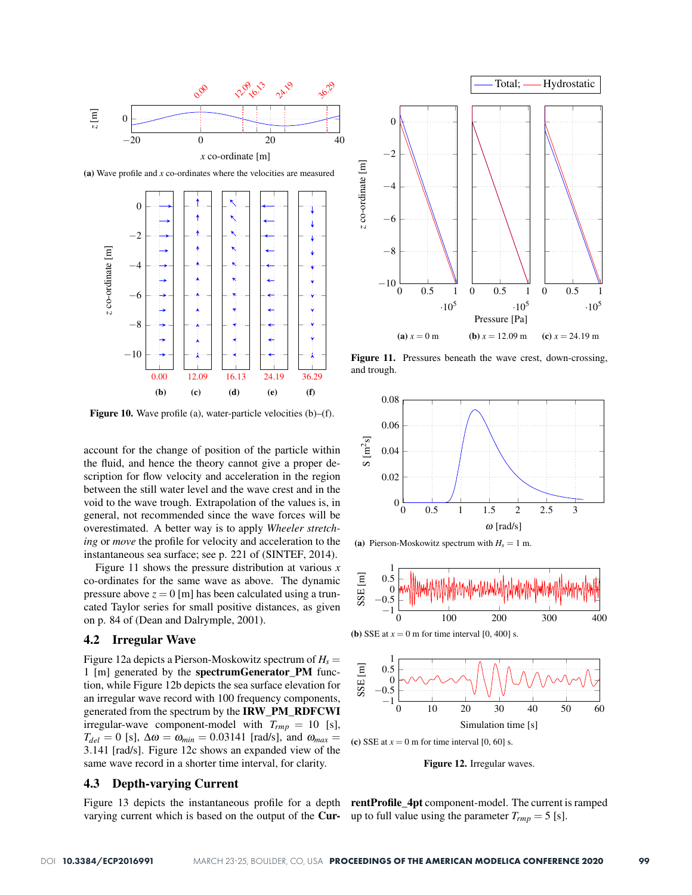

(a) Wave profile and *x* co-ordinates where the velocities are measured



Figure 10. Wave profile (a), water-particle velocities (b)–(f).

account for the change of position of the particle within the fluid, and hence the theory cannot give a proper description for flow velocity and acceleration in the region between the still water level and the wave crest and in the void to the wave trough. Extrapolation of the values is, in general, not recommended since the wave forces will be overestimated. A better way is to apply *Wheeler stretching* or *move* the profile for velocity and acceleration to the instantaneous sea surface; see p. 221 of (SINTEF, 2014).

Figure 11 shows the pressure distribution at various *x* co-ordinates for the same wave as above. The dynamic pressure above  $z = 0$  [m] has been calculated using a truncated Taylor series for small positive distances, as given on p. 84 of (Dean and Dalrymple, 2001).

#### 4.2 Irregular Wave

Figure 12a depicts a Pierson-Moskowitz spectrum of *Hs* = 1 [m] generated by the spectrumGenerator\_PM function, while Figure 12b depicts the sea surface elevation for an irregular wave record with 100 frequency components, generated from the spectrum by the IRW\_PM\_RDFCWI irregular-wave component-model with  $T_{rmp} = 10$  [s],  $T_{del} = 0$  [s],  $\Delta \omega = \omega_{min} = 0.03141$  [rad/s], and  $\omega_{max} =$ 3.141 [rad/s]. Figure 12c shows an expanded view of the same wave record in a shorter time interval, for clarity.

## 4.3 Depth-varying Current

varying current which is based on the output of the **Cur-** up to full value using the parameter  $T_{rmp} = 5$  [s].



Figure 11. Pressures beneath the wave crest, down-crossing, and trough.



(a) Pierson-Moskowitz spectrum with  $H_s = 1$  m.







(c) SSE at  $x = 0$  m for time interval [0, 60] s.

Figure 12. Irregular waves.

Figure 13 depicts the instantaneous profile for a depth **rentProfile\_4pt** component-model. The current is ramped